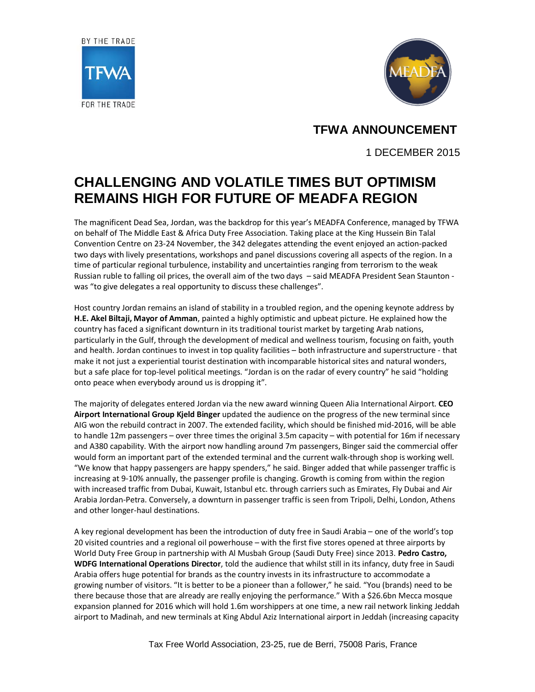



**TFWA ANNOUNCEMENT**

1 DECEMBER 2015

## **CHALLENGING AND VOLATILE TIMES BUT OPTIMISM REMAINS HIGH FOR FUTURE OF MEADFA REGION**

The magnificent Dead Sea, Jordan, was the backdrop for this year's MEADFA Conference, managed by TFWA on behalf of The Middle East & Africa Duty Free Association. Taking place at the King Hussein Bin Talal Convention Centre on 23-24 November, the 342 delegates attending the event enjoyed an action-packed two days with lively presentations, workshops and panel discussions covering all aspects of the region. In a time of particular regional turbulence, instability and uncertainties ranging from terrorism to the weak Russian ruble to falling oil prices, the overall aim of the two days – said MEADFA President Sean Staunton was "to give delegates a real opportunity to discuss these challenges".

Host country Jordan remains an island of stability in a troubled region, and the opening keynote address by **H.E. Akel Biltaji, Mayor of Amman**, painted a highly optimistic and upbeat picture. He explained how the country has faced a significant downturn in its traditional tourist market by targeting Arab nations, particularly in the Gulf, through the development of medical and wellness tourism, focusing on faith, youth and health. Jordan continues to invest in top quality facilities – both infrastructure and superstructure - that make it not just a experiential tourist destination with incomparable historical sites and natural wonders, but a safe place for top-level political meetings. "Jordan is on the radar of every country" he said "holding onto peace when everybody around us is dropping it".

The majority of delegates entered Jordan via the new award winning Queen Alia International Airport. **CEO Airport International Group Kjeld Binger** updated the audience on the progress of the new terminal since AIG won the rebuild contract in 2007. The extended facility, which should be finished mid-2016, will be able to handle 12m passengers – over three times the original 3.5m capacity – with potential for 16m if necessary and A380 capability. With the airport now handling around 7m passengers, Binger said the commercial offer would form an important part of the extended terminal and the current walk-through shop is working well. "We know that happy passengers are happy spenders," he said. Binger added that while passenger traffic is increasing at 9-10% annually, the passenger profile is changing. Growth is coming from within the region with increased traffic from Dubai, Kuwait, Istanbul etc. through carriers such as Emirates, Fly Dubai and Air Arabia Jordan-Petra. Conversely, a downturn in passenger traffic is seen from Tripoli, Delhi, London, Athens and other longer-haul destinations.

A key regional development has been the introduction of duty free in Saudi Arabia – one of the world's top 20 visited countries and a regional oil powerhouse – with the first five stores opened at three airports by World Duty Free Group in partnership with Al Musbah Group (Saudi Duty Free) since 2013. **Pedro Castro, WDFG International Operations Director**, told the audience that whilst still in its infancy, duty free in Saudi Arabia offers huge potential for brands as the country invests in its infrastructure to accommodate a growing number of visitors. "It is better to be a pioneer than a follower," he said. "You (brands) need to be there because those that are already are really enjoying the performance." With a \$26.6bn Mecca mosque expansion planned for 2016 which will hold 1.6m worshippers at one time, a new rail network linking Jeddah airport to Madinah, and new terminals at King Abdul Aziz International airport in Jeddah (increasing capacity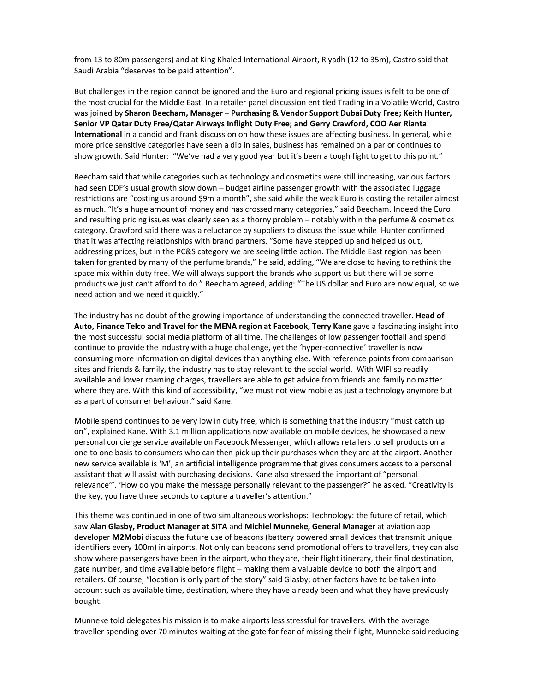from 13 to 80m passengers) and at King Khaled International Airport, Riyadh (12 to 35m), Castro said that Saudi Arabia "deserves to be paid attention".

But challenges in the region cannot be ignored and the Euro and regional pricing issues is felt to be one of the most crucial for the Middle East. In a retailer panel discussion entitled Trading in a Volatile World, Castro was joined by **Sharon Beecham, Manager – Purchasing & Vendor Support Dubai Duty Free; Keith Hunter, Senior VP Qatar Duty Free/Qatar Airways Inflight Duty Free; and Gerry Crawford, COO Aer Rianta International** in a candid and frank discussion on how these issues are affecting business. In general, while more price sensitive categories have seen a dip in sales, business has remained on a par or continues to show growth. Said Hunter: "We've had a very good year but it's been a tough fight to get to this point."

Beecham said that while categories such as technology and cosmetics were still increasing, various factors had seen DDF's usual growth slow down – budget airline passenger growth with the associated luggage restrictions are "costing us around \$9m a month", she said while the weak Euro is costing the retailer almost as much. "It's a huge amount of money and has crossed many categories," said Beecham. Indeed the Euro and resulting pricing issues was clearly seen as a thorny problem – notably within the perfume & cosmetics category. Crawford said there was a reluctance by suppliers to discuss the issue while Hunter confirmed that it was affecting relationships with brand partners. "Some have stepped up and helped us out, addressing prices, but in the PC&S category we are seeing little action. The Middle East region has been taken for granted by many of the perfume brands," he said, adding, "We are close to having to rethink the space mix within duty free. We will always support the brands who support us but there will be some products we just can't afford to do." Beecham agreed, adding: "The US dollar and Euro are now equal, so we need action and we need it quickly."

The industry has no doubt of the growing importance of understanding the connected traveller. **Head of Auto, Finance Telco and Travel for the MENA region at Facebook, Terry Kane** gave a fascinating insight into the most successful social media platform of all time. The challenges of low passenger footfall and spend continue to provide the industry with a huge challenge, yet the 'hyper-connective' traveller is now consuming more information on digital devices than anything else. With reference points from comparison sites and friends & family, the industry has to stay relevant to the social world. With WIFI so readily available and lower roaming charges, travellers are able to get advice from friends and family no matter where they are. With this kind of accessibility, "we must not view mobile as just a technology anymore but as a part of consumer behaviour," said Kane.

Mobile spend continues to be very low in duty free, which is something that the industry "must catch up on", explained Kane. With 3.1 million applications now available on mobile devices, he showcased a new personal concierge service available on Facebook Messenger, which allows retailers to sell products on a one to one basis to consumers who can then pick up their purchases when they are at the airport. Another new service available is 'M', an artificial intelligence programme that gives consumers access to a personal assistant that will assist with purchasing decisions. Kane also stressed the important of "personal relevance'". 'How do you make the message personally relevant to the passenger?" he asked. "Creativity is the key, you have three seconds to capture a traveller's attention."

This theme was continued in one of two simultaneous workshops: Technology: the future of retail, which saw A**lan Glasby, Product Manager at SITA** and **Michiel Munneke, General Manager** at aviation app developer **M2Mobi** discuss the future use of beacons (battery powered small devices that transmit unique identifiers every 100m) in airports. Not only can beacons send promotional offers to travellers, they can also show where passengers have been in the airport, who they are, their flight itinerary, their final destination, gate number, and time available before flight – making them a valuable device to both the airport and retailers. Of course, "location is only part of the story" said Glasby; other factors have to be taken into account such as available time, destination, where they have already been and what they have previously bought.

Munneke told delegates his mission is to make airports less stressful for travellers. With the average traveller spending over 70 minutes waiting at the gate for fear of missing their flight, Munneke said reducing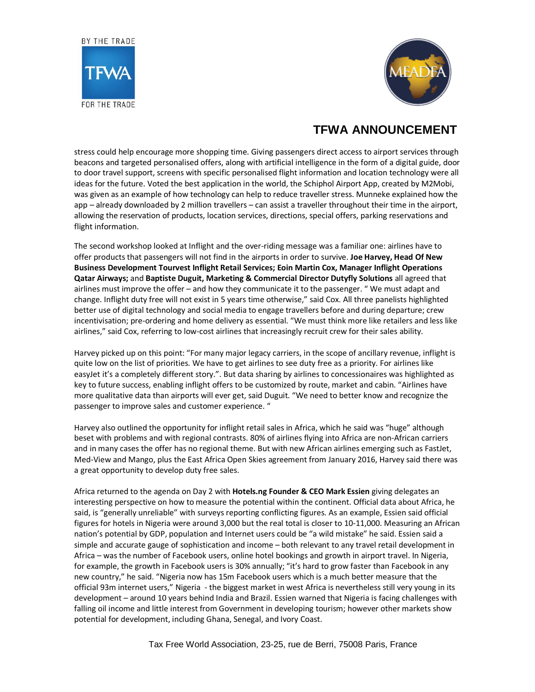



## **TFWA ANNOUNCEMENT**

stress could help encourage more shopping time. Giving passengers direct access to airport services through beacons and targeted personalised offers, along with artificial intelligence in the form of a digital guide, door to door travel support, screens with specific personalised flight information and location technology were all ideas for the future. Voted the best application in the world, the Schiphol Airport App, created by M2Mobi, was given as an example of how technology can help to reduce traveller stress. Munneke explained how the app – already downloaded by 2 million travellers – can assist a traveller throughout their time in the airport, allowing the reservation of products, location services, directions, special offers, parking reservations and flight information.

The second workshop looked at Inflight and the over-riding message was a familiar one: airlines have to offer products that passengers will not find in the airports in order to survive. **Joe Harvey, Head Of New Business Development Tourvest Inflight Retail Services; Eoin Martin Cox, Manager Inflight Operations Qatar Airways;** and **Baptiste Duguit, Marketing & Commercial Director Dutyfly Solutions** all agreed that airlines must improve the offer – and how they communicate it to the passenger. " We must adapt and change. Inflight duty free will not exist in 5 years time otherwise," said Cox. All three panelists highlighted better use of digital technology and social media to engage travellers before and during departure; crew incentivisation; pre-ordering and home delivery as essential. "We must think more like retailers and less like airlines," said Cox, referring to low-cost airlines that increasingly recruit crew for their sales ability.

Harvey picked up on this point: "For many major legacy carriers, in the scope of ancillary revenue, inflight is quite low on the list of priorities. We have to get airlines to see duty free as a priority. For airlines like easyJet it's a completely different story.". But data sharing by airlines to concessionaires was highlighted as key to future success, enabling inflight offers to be customized by route, market and cabin. "Airlines have more qualitative data than airports will ever get, said Duguit. "We need to better know and recognize the passenger to improve sales and customer experience. "

Harvey also outlined the opportunity for inflight retail sales in Africa, which he said was "huge" although beset with problems and with regional contrasts. 80% of airlines flying into Africa are non-African carriers and in many cases the offer has no regional theme. But with new African airlines emerging such as FastJet, Med-View and Mango, plus the East Africa Open Skies agreement from January 2016, Harvey said there was a great opportunity to develop duty free sales.

Africa returned to the agenda on Day 2 with **Hotels.ng Founder & CEO Mark Essien** giving delegates an interesting perspective on how to measure the potential within the continent. Official data about Africa, he said, is "generally unreliable" with surveys reporting conflicting figures. As an example, Essien said official figures for hotels in Nigeria were around 3,000 but the real total is closer to 10-11,000. Measuring an African nation's potential by GDP, population and Internet users could be "a wild mistake" he said. Essien said a simple and accurate gauge of sophistication and income – both relevant to any travel retail development in Africa – was the number of Facebook users, online hotel bookings and growth in airport travel. In Nigeria, for example, the growth in Facebook users is 30% annually; "it's hard to grow faster than Facebook in any new country," he said. "Nigeria now has 15m Facebook users which is a much better measure that the official 93m internet users," Nigeria - the biggest market in west Africa is nevertheless still very young in its development – around 10 years behind India and Brazil. Essien warned that Nigeria is facing challenges with falling oil income and little interest from Government in developing tourism; however other markets show potential for development, including Ghana, Senegal, and Ivory Coast.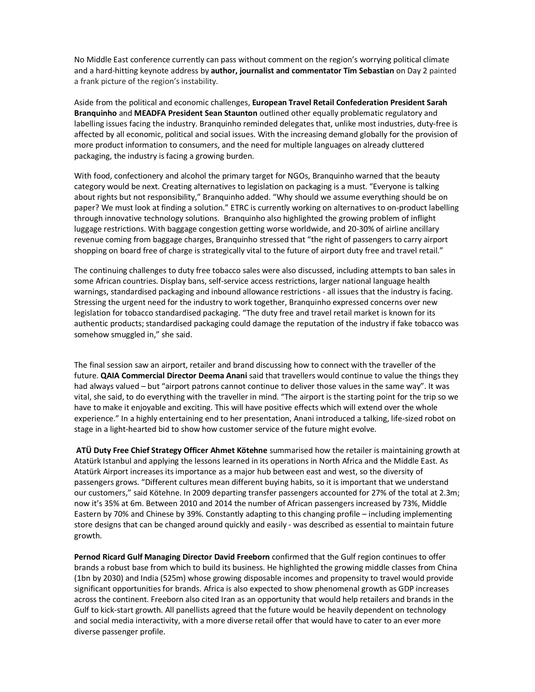No Middle East conference currently can pass without comment on the region's worrying political climate and a hard-hitting keynote address by **author, journalist and commentator Tim Sebastian** on Day 2 painted a frank picture of the region's instability.

Aside from the political and economic challenges, **European Travel Retail Confederation President Sarah Branquinho** and **MEADFA President Sean Staunton** outlined other equally problematic regulatory and labelling issues facing the industry. Branquinho reminded delegates that, unlike most industries, duty-free is affected by all economic, political and social issues. With the increasing demand globally for the provision of more product information to consumers, and the need for multiple languages on already cluttered packaging, the industry is facing a growing burden.

With food, confectionery and alcohol the primary target for NGOs, Branquinho warned that the beauty category would be next. Creating alternatives to legislation on packaging is a must. "Everyone is talking about rights but not responsibility," Branquinho added. "Why should we assume everything should be on paper? We must look at finding a solution." ETRC is currently working on alternatives to on-product labelling through innovative technology solutions. Branquinho also highlighted the growing problem of inflight luggage restrictions. With baggage congestion getting worse worldwide, and 20-30% of airline ancillary revenue coming from baggage charges, Branquinho stressed that "the right of passengers to carry airport shopping on board free of charge is strategically vital to the future of airport duty free and travel retail."

The continuing challenges to duty free tobacco sales were also discussed, including attempts to ban sales in some African countries. Display bans, self-service access restrictions, larger national language health warnings, standardised packaging and inbound allowance restrictions - all issues that the industry is facing. Stressing the urgent need for the industry to work together, Branquinho expressed concerns over new legislation for tobacco standardised packaging. "The duty free and travel retail market is known for its authentic products; standardised packaging could damage the reputation of the industry if fake tobacco was somehow smuggled in," she said.

The final session saw an airport, retailer and brand discussing how to connect with the traveller of the future. **QAIA Commercial Director Deema Anani** said that travellers would continue to value the things they had always valued – but "airport patrons cannot continue to deliver those values in the same way". It was vital, she said, to do everything with the traveller in mind. "The airport is the starting point for the trip so we have to make it enjoyable and exciting. This will have positive effects which will extend over the whole experience." In a highly entertaining end to her presentation, Anani introduced a talking, life-sized robot on stage in a light-hearted bid to show how customer service of the future might evolve.

**ATÜ Duty Free Chief Strategy Officer Ahmet Kötehne** summarised how the retailer is maintaining growth at Atatürk Istanbul and applying the lessons learned in its operations in North Africa and the Middle East. As Atatürk Airport increases its importance as a major hub between east and west, so the diversity of passengers grows. "Different cultures mean different buying habits, so it is important that we understand our customers," said Kötehne. In 2009 departing transfer passengers accounted for 27% of the total at 2.3m; now it's 35% at 6m. Between 2010 and 2014 the number of African passengers increased by 73%, Middle Eastern by 70% and Chinese by 39%. Constantly adapting to this changing profile – including implementing store designs that can be changed around quickly and easily - was described as essential to maintain future growth.

**Pernod Ricard Gulf Managing Director David Freeborn** confirmed that the Gulf region continues to offer brands a robust base from which to build its business. He highlighted the growing middle classes from China (1bn by 2030) and India (525m) whose growing disposable incomes and propensity to travel would provide significant opportunities for brands. Africa is also expected to show phenomenal growth as GDP increases across the continent. Freeborn also cited Iran as an opportunity that would help retailers and brands in the Gulf to kick-start growth. All panellists agreed that the future would be heavily dependent on technology and social media interactivity, with a more diverse retail offer that would have to cater to an ever more diverse passenger profile.